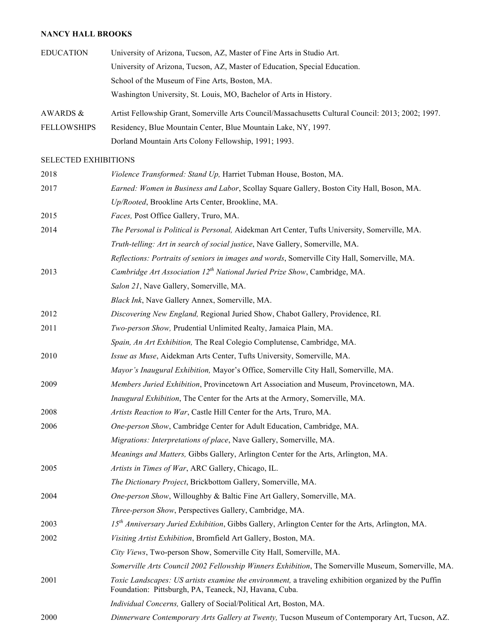## **NANCY HALL BROOKS**

| <b>EDUCATION</b>   | University of Arizona, Tucson, AZ, Master of Fine Arts in Studio Art.                              |
|--------------------|----------------------------------------------------------------------------------------------------|
|                    | University of Arizona, Tucson, AZ, Master of Education, Special Education.                         |
|                    | School of the Museum of Fine Arts, Boston, MA.                                                     |
|                    | Washington University, St. Louis, MO, Bachelor of Arts in History.                                 |
| AWARDS &           | Artist Fellowship Grant, Somerville Arts Council/Massachusetts Cultural Council: 2013; 2002; 1997. |
| <b>FELLOWSHIPS</b> | Residency, Blue Mountain Center, Blue Mountain Lake, NY, 1997.                                     |
|                    | Dorland Mountain Arts Colony Fellowship, 1991; 1993.                                               |

## SELECTED EXHIBITIONS

| 2018 | Violence Transformed: Stand Up, Harriet Tubman House, Boston, MA.                                                                                              |
|------|----------------------------------------------------------------------------------------------------------------------------------------------------------------|
| 2017 | Earned: Women in Business and Labor, Scollay Square Gallery, Boston City Hall, Boson, MA.                                                                      |
|      | Up/Rooted, Brookline Arts Center, Brookline, MA.                                                                                                               |
| 2015 | Faces, Post Office Gallery, Truro, MA.                                                                                                                         |
| 2014 | The Personal is Political is Personal, Aidekman Art Center, Tufts University, Somerville, MA.                                                                  |
|      | Truth-telling: Art in search of social justice, Nave Gallery, Somerville, MA.                                                                                  |
|      | Reflections: Portraits of seniors in images and words, Somerville City Hall, Somerville, MA.                                                                   |
| 2013 | Cambridge Art Association 12 <sup>th</sup> National Juried Prize Show, Cambridge, MA.                                                                          |
|      | Salon 21, Nave Gallery, Somerville, MA.                                                                                                                        |
|      | Black Ink, Nave Gallery Annex, Somerville, MA.                                                                                                                 |
| 2012 | Discovering New England, Regional Juried Show, Chabot Gallery, Providence, RI.                                                                                 |
| 2011 | Two-person Show, Prudential Unlimited Realty, Jamaica Plain, MA.                                                                                               |
|      | Spain, An Art Exhibition, The Real Colegio Complutense, Cambridge, MA.                                                                                         |
| 2010 | Issue as Muse, Aidekman Arts Center, Tufts University, Somerville, MA.                                                                                         |
|      | Mayor's Inaugural Exhibition, Mayor's Office, Somerville City Hall, Somerville, MA.                                                                            |
| 2009 | Members Juried Exhibition, Provincetown Art Association and Museum, Provincetown, MA.                                                                          |
|      | Inaugural Exhibition, The Center for the Arts at the Armory, Somerville, MA.                                                                                   |
| 2008 | Artists Reaction to War, Castle Hill Center for the Arts, Truro, MA.                                                                                           |
| 2006 | One-person Show, Cambridge Center for Adult Education, Cambridge, MA.                                                                                          |
|      | Migrations: Interpretations of place, Nave Gallery, Somerville, MA.                                                                                            |
|      | Meanings and Matters, Gibbs Gallery, Arlington Center for the Arts, Arlington, MA.                                                                             |
| 2005 | Artists in Times of War, ARC Gallery, Chicago, IL.                                                                                                             |
|      | The Dictionary Project, Brickbottom Gallery, Somerville, MA.                                                                                                   |
| 2004 | One-person Show, Willoughby & Baltic Fine Art Gallery, Somerville, MA.                                                                                         |
|      | Three-person Show, Perspectives Gallery, Cambridge, MA.                                                                                                        |
| 2003 | 15 <sup>th</sup> Anniversary Juried Exhibition, Gibbs Gallery, Arlington Center for the Arts, Arlington, MA.                                                   |
| 2002 | Visiting Artist Exhibition, Bromfield Art Gallery, Boston, MA.                                                                                                 |
|      | City Views, Two-person Show, Somerville City Hall, Somerville, MA.                                                                                             |
|      | Somerville Arts Council 2002 Fellowship Winners Exhibition, The Somerville Museum, Somerville, MA.                                                             |
| 2001 | Toxic Landscapes: US artists examine the environment, a traveling exhibition organized by the Puffin<br>Foundation: Pittsburgh, PA, Teaneck, NJ, Havana, Cuba. |
|      | Individual Concerns, Gallery of Social/Political Art, Boston, MA.                                                                                              |
| 2000 | Dinnerware Contemporary Arts Gallery at Twenty, Tucson Museum of Contemporary Art, Tucson, AZ.                                                                 |